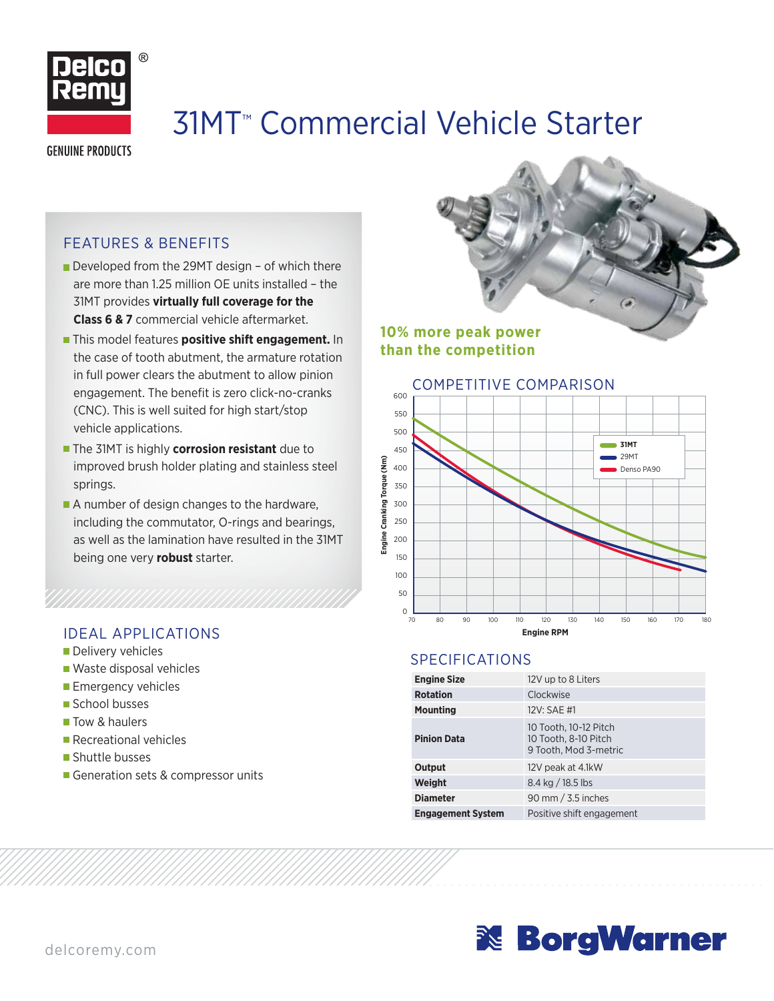

# 31MT™ Commercial Vehicle Starter

### **GENUINE PRODUCTS**

### FEATURES & BENEFITS

- Developed from the 29MT design of which there are more than 1.25 million OE units installed – the 31MT provides **virtually full coverage for the Class 6 & 7** commercial vehicle aftermarket.
- **This model features positive shift engagement.** In the case of tooth abutment, the armature rotation in full power clears the abutment to allow pinion engagement. The benefit is zero click-no-cranks (CNC). This is well suited for high start/stop vehicle applications.
- **The 31MT is highly corrosion resistant** due to improved brush holder plating and stainless steel springs.
- A number of design changes to the hardware, including the commutator, O-rings and bearings, as well as the lamination have resulted in the 31MT being one very **robust** starter.

- Delivery vehicles
- Waste disposal vehicles
- **Emergency vehicles**
- School busses
- **Tow & haulers**
- Recreational vehicles
- Shuttle busses
- Generation sets & compressor units

**10% more peak power than the competition**



### SPECIFICATIONS

| <b>Engine Size</b>       | 12V up to 8 Liters                                                     |  |  |  |  |
|--------------------------|------------------------------------------------------------------------|--|--|--|--|
| <b>Rotation</b>          | Clockwise                                                              |  |  |  |  |
| <b>Mounting</b>          | 12V: SAE #1                                                            |  |  |  |  |
| <b>Pinion Data</b>       | 10 Tooth, 10-12 Pitch<br>10 Tooth, 8-10 Pitch<br>9 Tooth, Mod 3-metric |  |  |  |  |
| Output                   | 12V peak at 4.1kW                                                      |  |  |  |  |
| Weight                   | $8.4$ kg $/$ 18.5 lbs                                                  |  |  |  |  |
| <b>Diameter</b>          | 90 mm $/$ 3.5 inches                                                   |  |  |  |  |
| <b>Engagement System</b> | Positive shift engagement                                              |  |  |  |  |